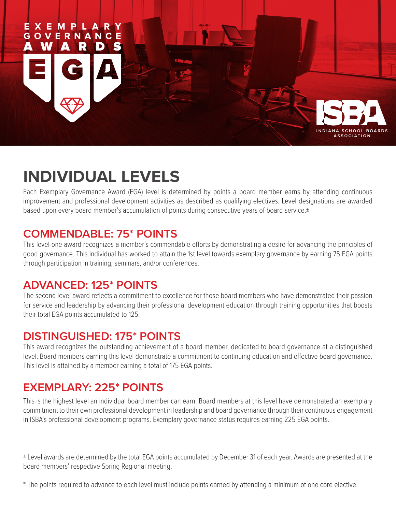

# **INDIVIDUAL LEVELS**

Each Exemplary Governance Award (EGA) level is determined by points a board member earns by attending continuous improvement and professional development activities as described as qualifying electives. Level designations are awarded  based upon every board member's accumulation of points during consecutive years of board service.±

### **COMMENDABLE: 75\* POINTS**

This level one award recognizes a member's commendable efforts by demonstrating a desire for advancing the principles of good governance. This individual has worked to attain the 1st level towards exemplary governance by earning 75 EGA points through participation in training, seminars, and/or conferences.

### **ADVANCED: 125\* POINTS**

The second level award reflects a commitment to excellence for those board members who have demonstrated their passion for service and leadership by advancing their professional development education through training opportunities that boosts their total EGA points accumulated to 125.

#### **DISTINGUISHED: 175\* POINTS**

This award recognizes the outstanding achievement of a board member, dedicated to board governance at a distinguished level. Board members earning this level demonstrate a commitment to continuing education and effective board governance. This level is attained by a member earning a total of 175 EGA points.

## **EXEMPLARY: 225\* POINTS**

This is the highest level an individual board member can earn. Board members at this level have demonstrated an exemplary commitment to their own professional development in leadership and board governance through their continuous engagement in ISBA's professional development programs. Exemplary governance status requires earning 225 EGA points.

± Level awards are determined by the total EGA points accumulated by December 31 of each year. Awards are presented at the board members' respective Spring Regional meeting.

\* The points required to advance to each level must include points earned by attending a minimum of one core elective.